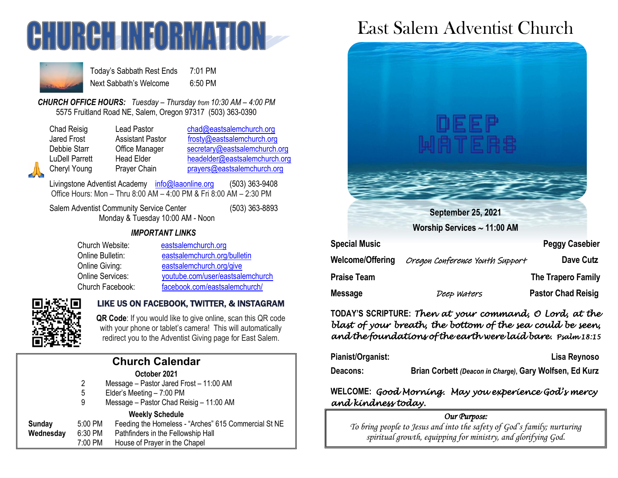



Today's Sabbath Rest Ends 7:01 PM Next Sabbath's Welcome 6:50 PM

*CHURCH OFFICE HOURS: Tuesday – Thursday from 10:30 AM – 4:00 PM* 5575 Fruitland Road NE, Salem, Oregon 97317 (503) 363-0390

Lead Pastor [chad@eastsalemchurch.org](mailto:chad@eastsalemchurch.org) Assistant Pastor [frosty@eastsalemchurch.org](mailto:frosty@eastsalemchurch.org) Office Manager [secretary@eastsalemchurch.org](mailto:secretary@eastsalemchurch.org) Head Elder [headelder@eastsalemchurch.org](mailto:headelder@eastsalemchurch.org) Prayer Chain [prayers@eastsalemchurch.org](mailto:prayers@eastsalemchurch.org)

Livingstone Adventist Academy [info@laaonline.org](mailto:info@laaonline.org) (503) 363-9408 Office Hours: Mon – Thru 8:00 AM – 4:00 PM & Fri 8:00 AM – 2:30 PM

Salem Adventist Community Service Center (503) 363-8893 Monday & Tuesday 10:00 AM - Noon

#### *IMPORTANT LINKS*

| Church Website:  | eastsalemchurch.org              |
|------------------|----------------------------------|
| Online Bulletin: | eastsalemchurch.org/bulletin     |
| Online Giving:   | eastsalemchurch.org/give         |
| Online Services: | youtube.com/user/eastsalemchurch |
| Church Facebook: | facebook.com/eastsalemchurch/    |



### LIKE US ON FACEBOOK, TWITTER, & INSTAGRAM

**QR Code**: If you would like to give online, scan this QR code with your phone or tablet's camera! This will automatically redirect you to the Adventist Giving page for East Salem.

| <b>Church Calendar</b> |  |
|------------------------|--|
| October 2021           |  |

- 2 Message Pastor Jared Frost 11:00 AM
- 5 Elder's Meeting 7:00 PM
- 9 Message Pastor Chad Reisig 11:00 AM

#### **Weekly Schedule**

| Sunday    | 5:00 PM | Feeding the Homeless - "Arches" 615 Commercial St NE |
|-----------|---------|------------------------------------------------------|
| Wednesday | 6:30 PM | Pathfinders in the Fellowship Hall                   |
|           | 7:00 PM | House of Prayer in the Chapel                        |

# East Salem Adventist Church



| Welcome/Offering | Oregon Conference Youth Support | Dave Cutz                 |
|------------------|---------------------------------|---------------------------|
| Praise Team      |                                 | The Trapero Family        |
| Message          | Deep Waters                     | <b>Pastor Chad Reisig</b> |

**TODAY'S SCRIPTURE:** *Then at your command, O Lord, at the blast of your breath, the bottom of the sea could be seen, and the foundations of the earth were laid bare. Psalm 18:15* 

| Pianist/Organist: | Lisa Reynoso                                            |  |
|-------------------|---------------------------------------------------------|--|
| Deacons:          | Brian Corbett (Deacon in Charge), Gary Wolfsen, Ed Kurz |  |

# **WELCOME:** *Good Morning. May you experience God's mercy and kindness today.*

# *Our Purpose:*

*To bring people to Jesus and into the safety of God's family; nurturing spiritual growth, equipping for ministry, and glorifying God.*